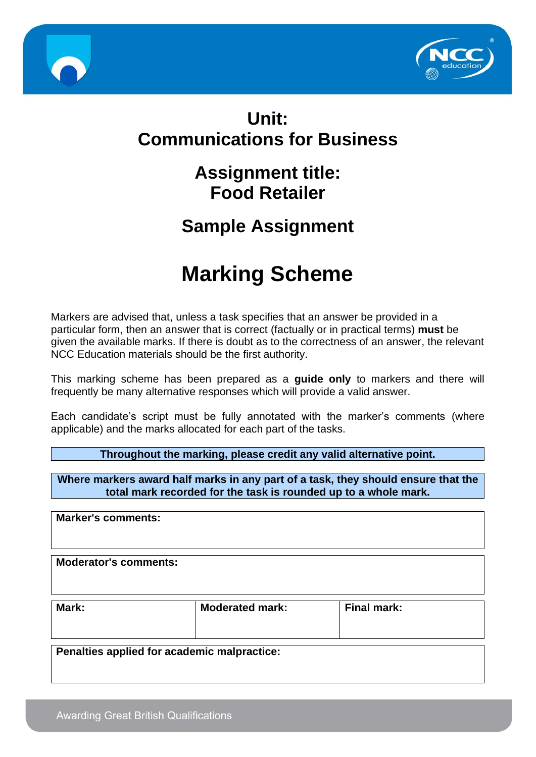



# **Unit: Communications for Business**

# **Assignment title: Food Retailer**

## **Sample Assignment**

# **Marking Scheme**

Markers are advised that, unless a task specifies that an answer be provided in a particular form, then an answer that is correct (factually or in practical terms) **must** be given the available marks. If there is doubt as to the correctness of an answer, the relevant NCC Education materials should be the first authority.

This marking scheme has been prepared as a **guide only** to markers and there will frequently be many alternative responses which will provide a valid answer.

Each candidate's script must be fully annotated with the marker's comments (where applicable) and the marks allocated for each part of the tasks.

**Throughout the marking, please credit any valid alternative point.**

**Where markers award half marks in any part of a task, they should ensure that the total mark recorded for the task is rounded up to a whole mark.**

**Marker's comments: Moderator's comments: Mark: Moderated mark: Final mark:**

**Penalties applied for academic malpractice:**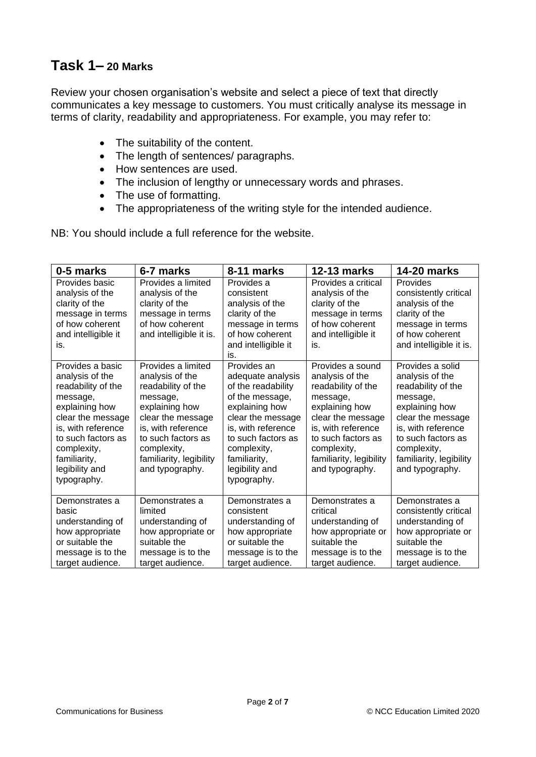## **Task 1– 20 Marks**

Review your chosen organisation's website and select a piece of text that directly communicates a key message to customers. You must critically analyse its message in terms of clarity, readability and appropriateness. For example, you may refer to:

- The suitability of the content.
- The length of sentences/ paragraphs.
- How sentences are used.
- The inclusion of lengthy or unnecessary words and phrases.
- The use of formatting.
- The appropriateness of the writing style for the intended audience.

NB: You should include a full reference for the website.

| 0-5 marks                                                                                                                                                                                                                | 6-7 marks                                                                                                                                                                                                               | 8-11 marks                                                                                                                                                                                                                   | 12-13 marks                                                                                                                                                                                                           | <b>14-20 marks</b>                                                                                                                                                                                                    |
|--------------------------------------------------------------------------------------------------------------------------------------------------------------------------------------------------------------------------|-------------------------------------------------------------------------------------------------------------------------------------------------------------------------------------------------------------------------|------------------------------------------------------------------------------------------------------------------------------------------------------------------------------------------------------------------------------|-----------------------------------------------------------------------------------------------------------------------------------------------------------------------------------------------------------------------|-----------------------------------------------------------------------------------------------------------------------------------------------------------------------------------------------------------------------|
| Provides basic<br>analysis of the<br>clarity of the<br>message in terms<br>of how coherent<br>and intelligible it<br>is.                                                                                                 | Provides a limited<br>analysis of the<br>clarity of the<br>message in terms<br>of how coherent<br>and intelligible it is.                                                                                               | Provides a<br>consistent<br>analysis of the<br>clarity of the<br>message in terms<br>of how coherent<br>and intelligible it<br>is.                                                                                           | Provides a critical<br>analysis of the<br>clarity of the<br>message in terms<br>of how coherent<br>and intelligible it<br>is.                                                                                         | Provides<br>consistently critical<br>analysis of the<br>clarity of the<br>message in terms<br>of how coherent<br>and intelligible it is.                                                                              |
| Provides a basic<br>analysis of the<br>readability of the<br>message,<br>explaining how<br>clear the message<br>is, with reference<br>to such factors as<br>complexity,<br>familiarity,<br>legibility and<br>typography. | Provides a limited<br>analysis of the<br>readability of the<br>message,<br>explaining how<br>clear the message<br>is, with reference<br>to such factors as<br>complexity,<br>familiarity, legibility<br>and typography. | Provides an<br>adequate analysis<br>of the readability<br>of the message,<br>explaining how<br>clear the message<br>is, with reference<br>to such factors as<br>complexity,<br>familiarity,<br>legibility and<br>typography. | Provides a sound<br>analysis of the<br>readability of the<br>message,<br>explaining how<br>clear the message<br>is, with reference<br>to such factors as<br>complexity,<br>familiarity, legibility<br>and typography. | Provides a solid<br>analysis of the<br>readability of the<br>message,<br>explaining how<br>clear the message<br>is, with reference<br>to such factors as<br>complexity,<br>familiarity, legibility<br>and typography. |
| Demonstrates a<br>basic<br>understanding of<br>how appropriate<br>or suitable the<br>message is to the<br>target audience.                                                                                               | Demonstrates a<br>limited<br>understanding of<br>how appropriate or<br>suitable the<br>message is to the<br>target audience.                                                                                            | Demonstrates a<br>consistent<br>understanding of<br>how appropriate<br>or suitable the<br>message is to the<br>target audience.                                                                                              | Demonstrates a<br>critical<br>understanding of<br>how appropriate or<br>suitable the<br>message is to the<br>target audience.                                                                                         | Demonstrates a<br>consistently critical<br>understanding of<br>how appropriate or<br>suitable the<br>message is to the<br>target audience.                                                                            |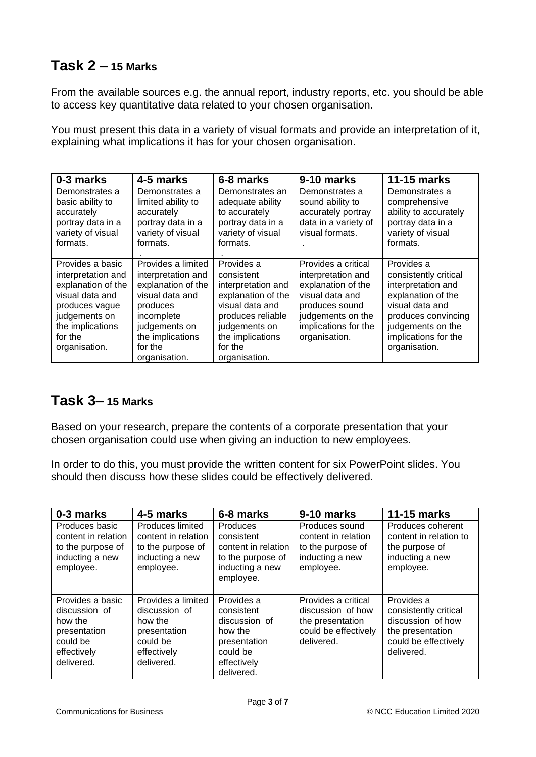### **Task 2 – 15 Marks**

From the available sources e.g. the annual report, industry reports, etc. you should be able to access key quantitative data related to your chosen organisation.

You must present this data in a variety of visual formats and provide an interpretation of it, explaining what implications it has for your chosen organisation.

| 0-3 marks                                                                                                                                                          | 4-5 marks                                                                                                                                                                    | 6-8 marks                                                                                                                                                                     | 9-10 marks                                                                                                                                                         | <b>11-15 marks</b>                                                                                                                                                                      |
|--------------------------------------------------------------------------------------------------------------------------------------------------------------------|------------------------------------------------------------------------------------------------------------------------------------------------------------------------------|-------------------------------------------------------------------------------------------------------------------------------------------------------------------------------|--------------------------------------------------------------------------------------------------------------------------------------------------------------------|-----------------------------------------------------------------------------------------------------------------------------------------------------------------------------------------|
| Demonstrates a<br>basic ability to<br>accurately<br>portray data in a<br>variety of visual<br>formats.                                                             | Demonstrates a<br>limited ability to<br>accurately<br>portray data in a<br>variety of visual<br>formats.                                                                     | Demonstrates an<br>adequate ability<br>to accurately<br>portray data in a<br>variety of visual<br>formats.                                                                    | Demonstrates a<br>sound ability to<br>accurately portray<br>data in a variety of<br>visual formats.                                                                | Demonstrates a<br>comprehensive<br>ability to accurately<br>portray data in a<br>variety of visual<br>formats.                                                                          |
| Provides a basic<br>interpretation and<br>explanation of the<br>visual data and<br>produces vague<br>judgements on<br>the implications<br>for the<br>organisation. | Provides a limited<br>interpretation and<br>explanation of the<br>visual data and<br>produces<br>incomplete<br>judgements on<br>the implications<br>for the<br>organisation. | Provides a<br>consistent<br>interpretation and<br>explanation of the<br>visual data and<br>produces reliable<br>judgements on<br>the implications<br>for the<br>organisation. | Provides a critical<br>interpretation and<br>explanation of the<br>visual data and<br>produces sound<br>judgements on the<br>implications for the<br>organisation. | Provides a<br>consistently critical<br>interpretation and<br>explanation of the<br>visual data and<br>produces convincing<br>judgements on the<br>implications for the<br>organisation. |

#### **Task 3– 15 Marks**

Based on your research, prepare the contents of a corporate presentation that your chosen organisation could use when giving an induction to new employees.

In order to do this, you must provide the written content for six PowerPoint slides. You should then discuss how these slides could be effectively delivered.

| 0-3 marks                                                                                             | 4-5 marks                                                                                               | 6-8 marks                                                                                                     | 9-10 marks                                                                                         | <b>11-15 marks</b>                                                                                                 |
|-------------------------------------------------------------------------------------------------------|---------------------------------------------------------------------------------------------------------|---------------------------------------------------------------------------------------------------------------|----------------------------------------------------------------------------------------------------|--------------------------------------------------------------------------------------------------------------------|
| Produces basic<br>content in relation<br>to the purpose of<br>inducting a new<br>employee.            | Produces limited<br>content in relation<br>to the purpose of<br>inducting a new<br>employee.            | Produces<br>consistent<br>content in relation<br>to the purpose of<br>inducting a new<br>employee.            | Produces sound<br>content in relation<br>to the purpose of<br>inducting a new<br>employee.         | Produces coherent<br>content in relation to<br>the purpose of<br>inducting a new<br>employee.                      |
| Provides a basic<br>discussion of<br>how the<br>presentation<br>could be<br>effectively<br>delivered. | Provides a limited<br>discussion of<br>how the<br>presentation<br>could be<br>effectively<br>delivered. | Provides a<br>consistent<br>discussion of<br>how the<br>presentation<br>could be<br>effectively<br>delivered. | Provides a critical<br>discussion of how<br>the presentation<br>could be effectively<br>delivered. | Provides a<br>consistently critical<br>discussion of how<br>the presentation<br>could be effectively<br>delivered. |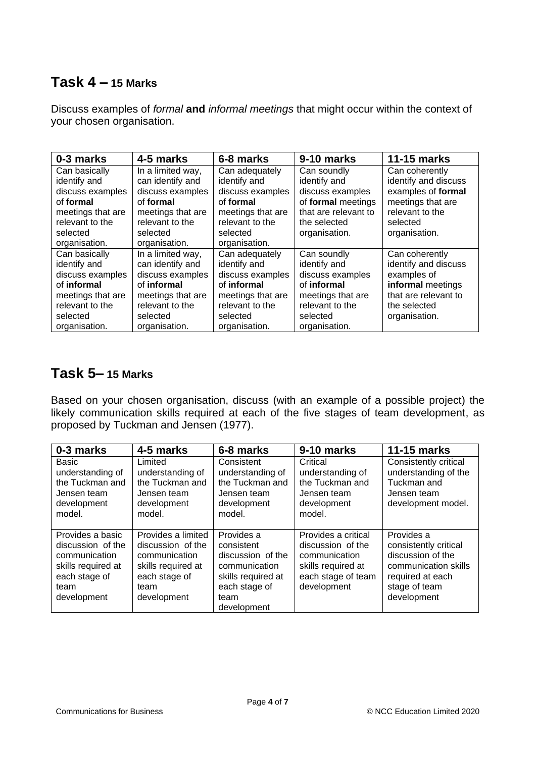#### **Task 4 – 15 Marks**

Discuss examples of *formal* **and** *informal meetings* that might occur within the context of your chosen organisation.

| 0-3 marks         | 4-5 marks         | 6-8 marks         | 9-10 marks           | <b>11-15 marks</b>   |
|-------------------|-------------------|-------------------|----------------------|----------------------|
| Can basically     | In a limited way, | Can adequately    | Can soundly          | Can coherently       |
| identify and      | can identify and  | identify and      | identify and         | identify and discuss |
| discuss examples  | discuss examples  | discuss examples  | discuss examples     | examples of formal   |
| of formal         | of formal         | of formal         | of formal meetings   | meetings that are    |
| meetings that are | meetings that are | meetings that are | that are relevant to | relevant to the      |
| relevant to the   | relevant to the   | relevant to the   | the selected         | selected             |
| selected          | selected          | selected          | organisation.        | organisation.        |
| organisation.     | organisation.     | organisation.     |                      |                      |
| Can basically     | In a limited way, | Can adequately    | Can soundly          | Can coherently       |
| identify and      | can identify and  | identify and      | identify and         | identify and discuss |
| discuss examples  | discuss examples  | discuss examples  | discuss examples     | examples of          |
| of informal       | of informal       | of informal       | of informal          | informal meetings    |
| meetings that are | meetings that are | meetings that are | meetings that are    | that are relevant to |
| relevant to the   | relevant to the   | relevant to the   | relevant to the      | the selected         |
| selected          | selected          | selected          | selected             | organisation.        |
| organisation.     | organisation.     | organisation.     | organisation.        |                      |

### **Task 5– 15 Marks**

Based on your chosen organisation, discuss (with an example of a possible project) the likely communication skills required at each of the five stages of team development, as proposed by Tuckman and Jensen (1977).

| 0-3 marks                                                                                                            | 4-5 marks                                                                                                              | 6-8 marks                                                                                                                    | 9-10 marks                                                                                                           | <b>11-15 marks</b>                                                                                                                   |
|----------------------------------------------------------------------------------------------------------------------|------------------------------------------------------------------------------------------------------------------------|------------------------------------------------------------------------------------------------------------------------------|----------------------------------------------------------------------------------------------------------------------|--------------------------------------------------------------------------------------------------------------------------------------|
| Basic<br>understanding of<br>the Tuckman and<br>Jensen team<br>development<br>model.                                 | Limited<br>understanding of<br>the Tuckman and<br>Jensen team<br>development<br>model.                                 | Consistent<br>understanding of<br>the Tuckman and<br>Jensen team<br>development<br>model.                                    | Critical<br>understanding of<br>the Tuckman and<br>Jensen team<br>development<br>model.                              | Consistently critical<br>understanding of the<br>Tuckman and<br>Jensen team<br>development model.                                    |
| Provides a basic<br>discussion of the<br>communication<br>skills required at<br>each stage of<br>team<br>development | Provides a limited<br>discussion of the<br>communication<br>skills required at<br>each stage of<br>team<br>development | Provides a<br>consistent<br>discussion of the<br>communication<br>skills required at<br>each stage of<br>team<br>development | Provides a critical<br>discussion of the<br>communication<br>skills required at<br>each stage of team<br>development | Provides a<br>consistently critical<br>discussion of the<br>communication skills<br>required at each<br>stage of team<br>development |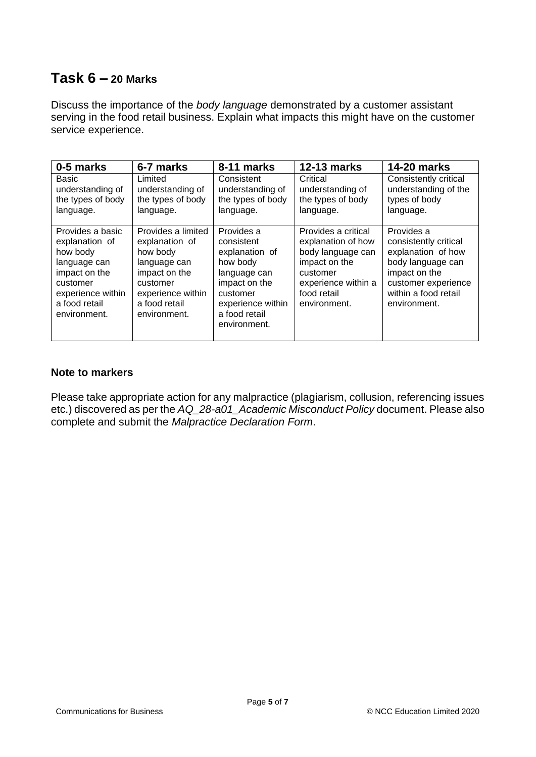#### **Task 6 – 20 Marks**

Discuss the importance of the *body language* demonstrated by a customer assistant serving in the food retail business. Explain what impacts this might have on the customer service experience.

| 0-5 marks                                                                                                                                         | 6-7 marks                                                                                                                                           | 8-11 marks                                                                                                                                                | <b>12-13 marks</b>                                                                                                                                | <b>14-20 marks</b>                                                                                                                                             |
|---------------------------------------------------------------------------------------------------------------------------------------------------|-----------------------------------------------------------------------------------------------------------------------------------------------------|-----------------------------------------------------------------------------------------------------------------------------------------------------------|---------------------------------------------------------------------------------------------------------------------------------------------------|----------------------------------------------------------------------------------------------------------------------------------------------------------------|
| Basic<br>understanding of<br>the types of body<br>language.                                                                                       | Limited<br>understanding of<br>the types of body<br>language.                                                                                       | Consistent<br>understanding of<br>the types of body<br>language.                                                                                          | Critical<br>understanding of<br>the types of body<br>language.                                                                                    | Consistently critical<br>understanding of the<br>types of body<br>language.                                                                                    |
| Provides a basic<br>explanation of<br>how body<br>language can<br>impact on the<br>customer<br>experience within<br>a food retail<br>environment. | Provides a limited<br>explanation of<br>how body<br>language can<br>impact on the<br>customer<br>experience within<br>a food retail<br>environment. | Provides a<br>consistent<br>explanation of<br>how body<br>language can<br>impact on the<br>customer<br>experience within<br>a food retail<br>environment. | Provides a critical<br>explanation of how<br>body language can<br>impact on the<br>customer<br>experience within a<br>food retail<br>environment. | Provides a<br>consistently critical<br>explanation of how<br>body language can<br>impact on the<br>customer experience<br>within a food retail<br>environment. |

#### **Note to markers**

Please take appropriate action for any malpractice (plagiarism, collusion, referencing issues etc.) discovered as per the *AQ\_28-a01\_Academic Misconduct Policy* document. Please also complete and submit the *Malpractice Declaration Form*.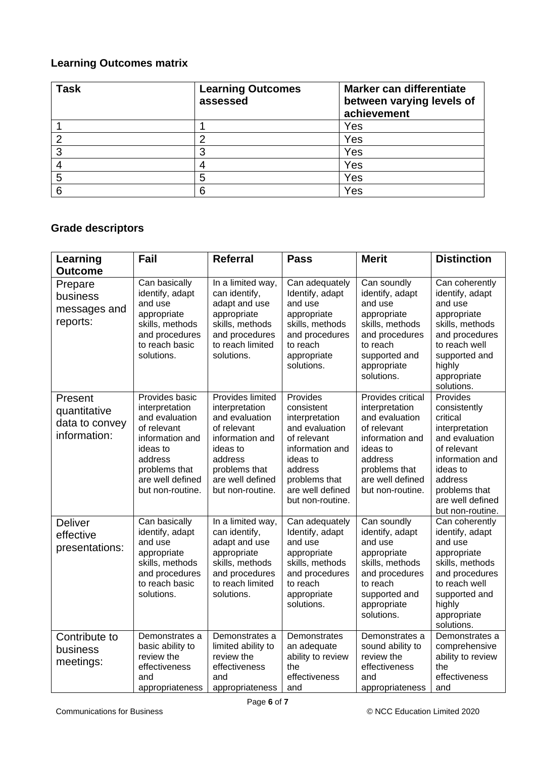#### **Learning Outcomes matrix**

| <b>Task</b> | <b>Learning Outcomes</b><br>assessed | Marker can differentiate<br>between varying levels of<br>achievement |
|-------------|--------------------------------------|----------------------------------------------------------------------|
|             |                                      | Yes                                                                  |
|             | ∩                                    | Yes                                                                  |
| 3           | 3                                    | Yes                                                                  |
|             |                                      | Yes                                                                  |
| 5           | 5                                    | Yes                                                                  |
| ี่ค         | 6                                    | Yes                                                                  |

### **Grade descriptors**

| Learning                                                  | Fail                                                                                                                                                                 | <b>Referral</b>                                                                                                                                                        | <b>Pass</b>                                                                                                                                                                  | <b>Merit</b>                                                                                                                                                            | <b>Distinction</b>                                                                                                                                                                         |
|-----------------------------------------------------------|----------------------------------------------------------------------------------------------------------------------------------------------------------------------|------------------------------------------------------------------------------------------------------------------------------------------------------------------------|------------------------------------------------------------------------------------------------------------------------------------------------------------------------------|-------------------------------------------------------------------------------------------------------------------------------------------------------------------------|--------------------------------------------------------------------------------------------------------------------------------------------------------------------------------------------|
| <b>Outcome</b>                                            |                                                                                                                                                                      |                                                                                                                                                                        |                                                                                                                                                                              |                                                                                                                                                                         |                                                                                                                                                                                            |
| Prepare<br>business<br>messages and<br>reports:           | Can basically<br>identify, adapt<br>and use<br>appropriate<br>skills, methods<br>and procedures<br>to reach basic<br>solutions.                                      | In a limited way,<br>can identify,<br>adapt and use<br>appropriate<br>skills, methods<br>and procedures<br>to reach limited<br>solutions.                              | Can adequately<br>Identify, adapt<br>and use<br>appropriate<br>skills, methods<br>and procedures<br>to reach<br>appropriate<br>solutions.                                    | Can soundly<br>identify, adapt<br>and use<br>appropriate<br>skills, methods<br>and procedures<br>to reach<br>supported and<br>appropriate<br>solutions.                 | Can coherently<br>identify, adapt<br>and use<br>appropriate<br>skills, methods<br>and procedures<br>to reach well<br>supported and<br>highly<br>appropriate<br>solutions.                  |
| Present<br>quantitative<br>data to convey<br>information: | Provides basic<br>interpretation<br>and evaluation<br>of relevant<br>information and<br>ideas to<br>address<br>problems that<br>are well defined<br>but non-routine. | Provides limited<br>interpretation<br>and evaluation<br>of relevant<br>information and<br>ideas to<br>address<br>problems that<br>are well defined<br>but non-routine. | Provides<br>consistent<br>interpretation<br>and evaluation<br>of relevant<br>information and<br>ideas to<br>address<br>problems that<br>are well defined<br>but non-routine. | Provides critical<br>interpretation<br>and evaluation<br>of relevant<br>information and<br>ideas to<br>address<br>problems that<br>are well defined<br>but non-routine. | Provides<br>consistently<br>critical<br>interpretation<br>and evaluation<br>of relevant<br>information and<br>ideas to<br>address<br>problems that<br>are well defined<br>but non-routine. |
| Deliver<br>effective<br>presentations:                    | Can basically<br>identify, adapt<br>and use<br>appropriate<br>skills, methods<br>and procedures<br>to reach basic<br>solutions.                                      | In a limited way,<br>can identify,<br>adapt and use<br>appropriate<br>skills, methods<br>and procedures<br>to reach limited<br>solutions.                              | Can adequately<br>Identify, adapt<br>and use<br>appropriate<br>skills, methods<br>and procedures<br>to reach<br>appropriate<br>solutions.                                    | Can soundly<br>identify, adapt<br>and use<br>appropriate<br>skills, methods<br>and procedures<br>to reach<br>supported and<br>appropriate<br>solutions.                 | Can coherently<br>identify, adapt<br>and use<br>appropriate<br>skills, methods<br>and procedures<br>to reach well<br>supported and<br>highly<br>appropriate<br>solutions.                  |
| Contribute to<br>business<br>meetings:                    | Demonstrates a<br>basic ability to<br>review the<br>effectiveness<br>and<br>appropriateness                                                                          | Demonstrates a<br>limited ability to<br>review the<br>effectiveness<br>and<br>appropriateness                                                                          | Demonstrates<br>an adequate<br>ability to review<br>the<br>effectiveness<br>and                                                                                              | Demonstrates a<br>sound ability to<br>review the<br>effectiveness<br>and<br>appropriateness                                                                             | Demonstrates a<br>comprehensive<br>ability to review<br>the<br>effectiveness<br>and                                                                                                        |